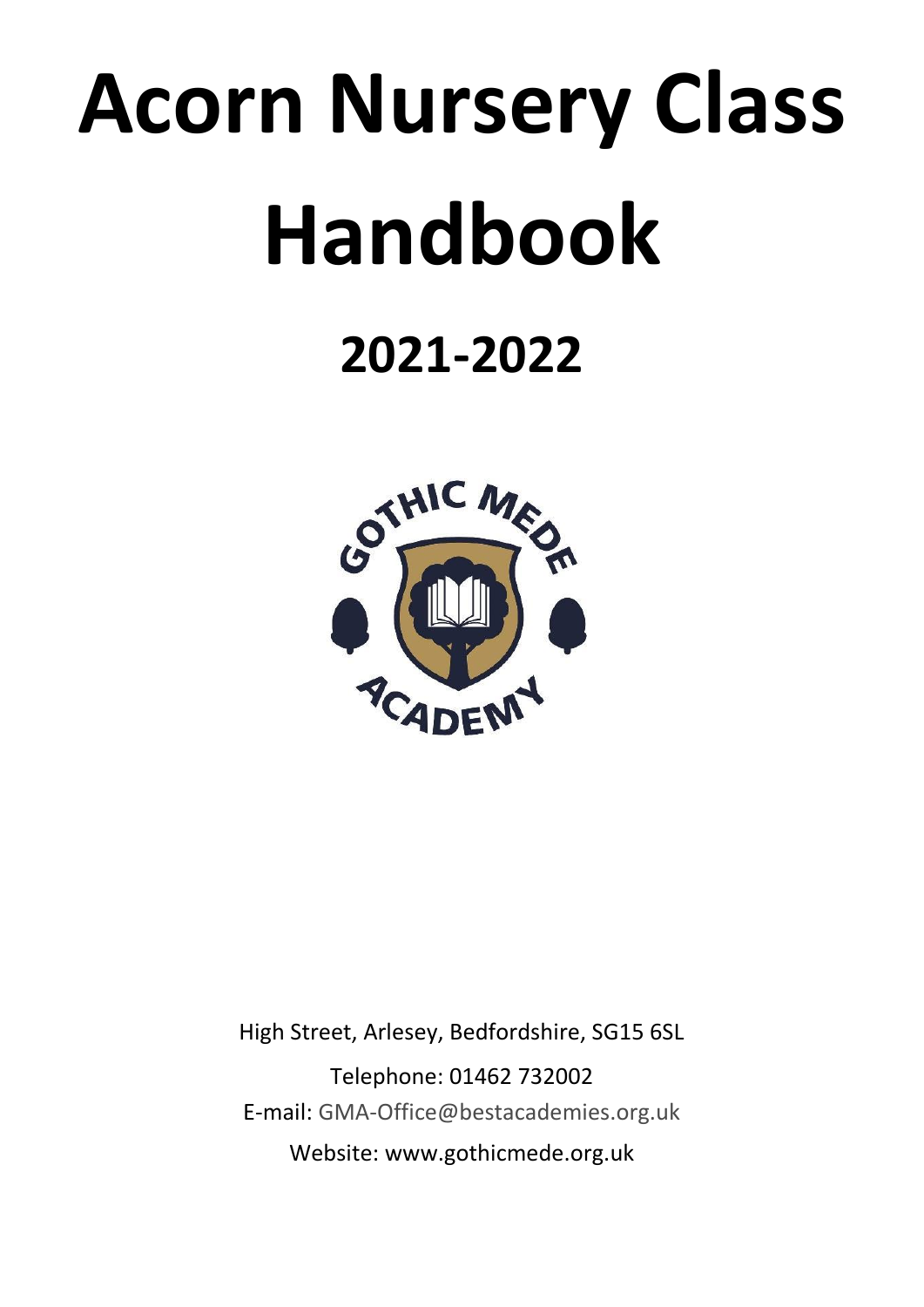# **Acorn Nursery Class Handbook**

# **2021-2022**



High Street, Arlesey, Bedfordshire, SG15 6SL Telephone: 01462 732002 E-mail: GMA-Office@bestacademies.org.uk Website: www.gothicmede.org.uk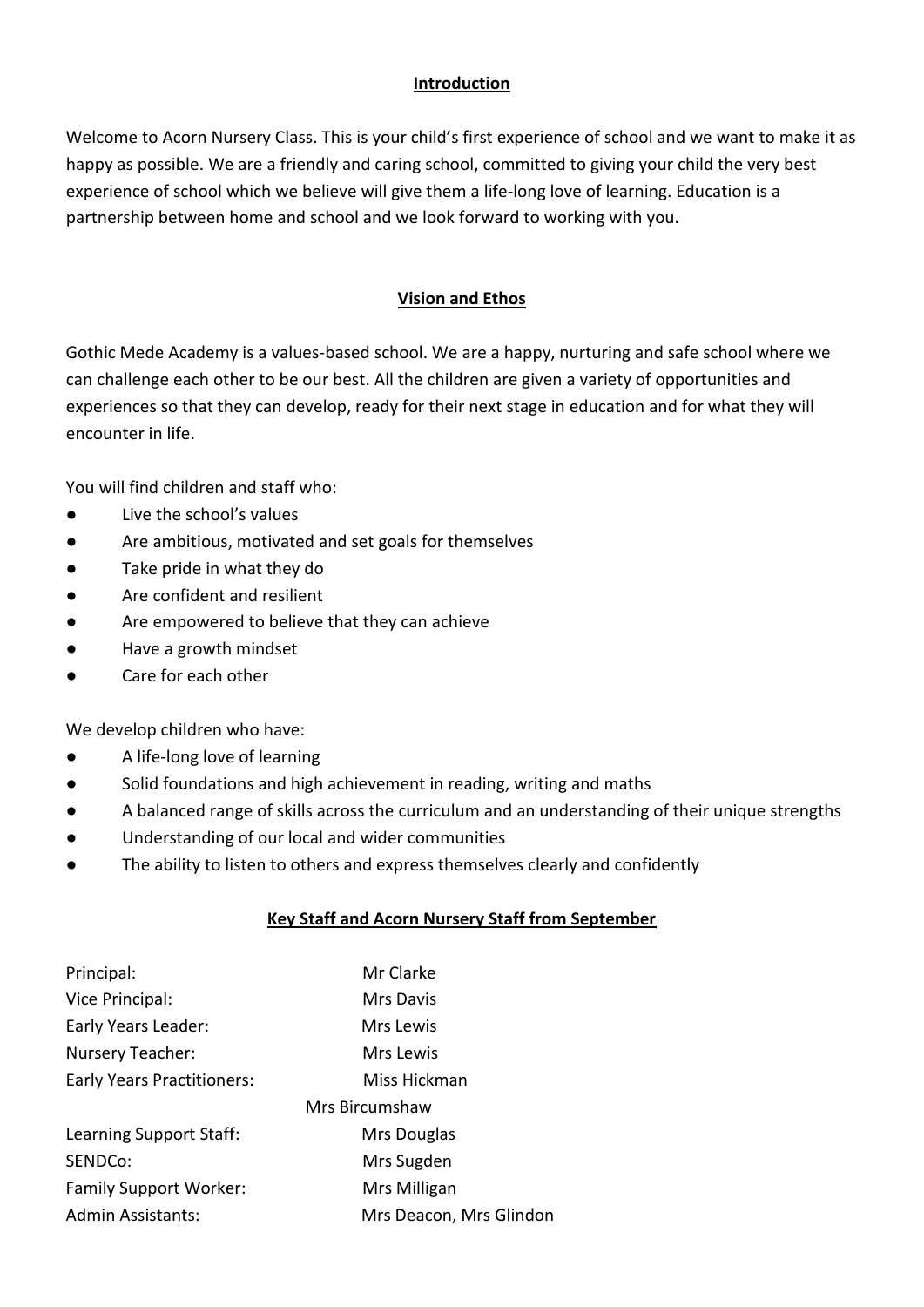#### **Introduction**

Welcome to Acorn Nursery Class. This is your child's first experience of school and we want to make it as happy as possible. We are a friendly and caring school, committed to giving your child the very best experience of school which we believe will give them a life-long love of learning. Education is a partnership between home and school and we look forward to working with you.

#### **Vision and Ethos**

Gothic Mede Academy is a values-based school. We are a happy, nurturing and safe school where we can challenge each other to be our best. All the children are given a variety of opportunities and experiences so that they can develop, ready for their next stage in education and for what they will encounter in life.

You will find children and staff who:

- Live the school's values
- Are ambitious, motivated and set goals for themselves
- Take pride in what they do
- Are confident and resilient
- Are empowered to believe that they can achieve
- Have a growth mindset
- Care for each other

We develop children who have:

- A life-long love of learning
- Solid foundations and high achievement in reading, writing and maths
- A balanced range of skills across the curriculum and an understanding of their unique strengths
- Understanding of our local and wider communities
- The ability to listen to others and express themselves clearly and confidently

# **Key Staff and Acorn Nursery Staff from September**

| Principal:                        | Mr Clarke               |
|-----------------------------------|-------------------------|
| Vice Principal:                   | <b>Mrs Davis</b>        |
| Early Years Leader:               | Mrs Lewis               |
| Nursery Teacher:                  | Mrs Lewis               |
| <b>Early Years Practitioners:</b> | Miss Hickman            |
|                                   | Mrs Bircumshaw          |
| Learning Support Staff:           | Mrs Douglas             |
| SENDCo:                           | Mrs Sugden              |
| <b>Family Support Worker:</b>     | Mrs Milligan            |
| <b>Admin Assistants:</b>          | Mrs Deacon, Mrs Glindon |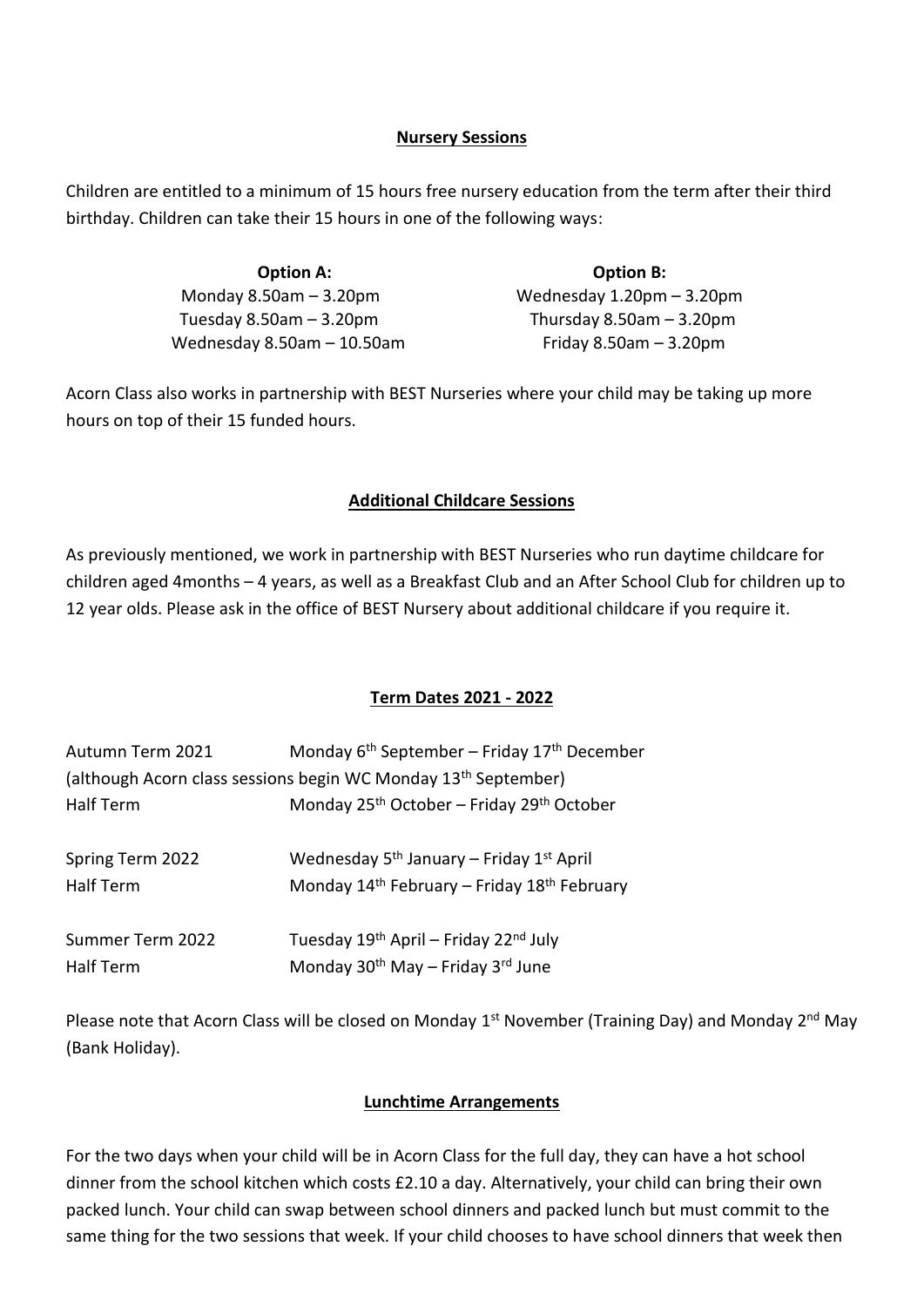#### **Nursery Sessions**

Children are entitled to a minimum of 15 hours free nursery education from the term after their third birthday. Children can take their 15 hours in one of the following ways:

| <b>Option A:</b>                | <b>Option B:</b>               |
|---------------------------------|--------------------------------|
| Monday $8.50$ am $-3.20$ pm     | Wednesday $1.20$ pm $-3.20$ pm |
| Tuesday $8.50$ am $-3.20$ pm    | Thursday $8.50$ am $-3.20$ pm  |
| Wednesday $8.50$ am $-10.50$ am | Friday $8.50$ am $-3.20$ pm    |

Acorn Class also works in partnership with BEST Nurseries where your child may be taking up more hours on top of their 15 funded hours.

#### **Additional Childcare Sessions**

As previously mentioned, we work in partnership with BEST Nurseries who run daytime childcare for children aged 4months – 4 years, as well as a Breakfast Club and an After School Club for children up to 12 year olds. Please ask in the office of BEST Nursery about additional childcare if you require it.

#### **Term Dates 2021 - 2022**

| Autumn Term 2021                                                           | Monday $6th September – Friday 17th December$                                                                                           |  |
|----------------------------------------------------------------------------|-----------------------------------------------------------------------------------------------------------------------------------------|--|
| (although Acorn class sessions begin WC Monday 13 <sup>th</sup> September) |                                                                                                                                         |  |
| <b>Half Term</b>                                                           | Monday 25 <sup>th</sup> October - Friday 29 <sup>th</sup> October                                                                       |  |
| Spring Term 2022<br><b>Half Term</b>                                       | Wednesday 5 <sup>th</sup> January – Friday 1 <sup>st</sup> April<br>Monday 14 <sup>th</sup> February - Friday 18 <sup>th</sup> February |  |
| Summer Term 2022<br><b>Half Term</b>                                       | Tuesday 19 <sup>th</sup> April – Friday 22 <sup>nd</sup> July<br>Monday 30 <sup>th</sup> May - Friday 3 <sup>rd</sup> June              |  |

Please note that Acorn Class will be closed on Monday 1<sup>st</sup> November (Training Day) and Monday 2<sup>nd</sup> May (Bank Holiday).

#### **Lunchtime Arrangements**

For the two days when your child will be in Acorn Class for the full day, they can have a hot school dinner from the school kitchen which costs £2.10 a day. Alternatively, your child can bring their own packed lunch. Your child can swap between school dinners and packed lunch but must commit to the same thing for the two sessions that week. If your child chooses to have school dinners that week then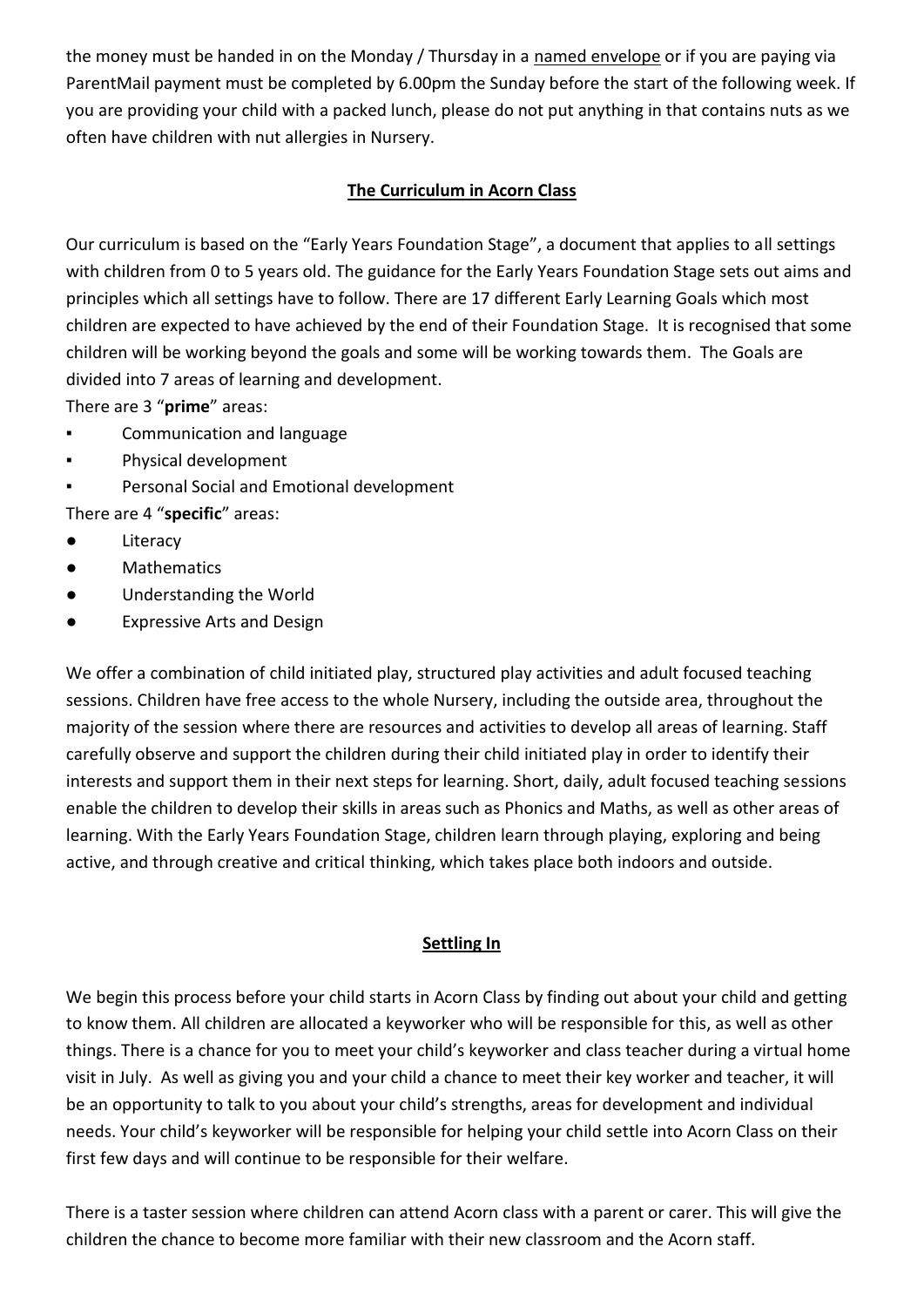the money must be handed in on the Monday / Thursday in a named envelope or if you are paying via ParentMail payment must be completed by 6.00pm the Sunday before the start of the following week. If you are providing your child with a packed lunch, please do not put anything in that contains nuts as we often have children with nut allergies in Nursery.

# **The Curriculum in Acorn Class**

Our curriculum is based on the "Early Years Foundation Stage", a document that applies to all settings with children from 0 to 5 years old. The guidance for the Early Years Foundation Stage sets out aims and principles which all settings have to follow. There are 17 different Early Learning Goals which most children are expected to have achieved by the end of their Foundation Stage. It is recognised that some children will be working beyond the goals and some will be working towards them. The Goals are divided into 7 areas of learning and development.

There are 3 "**prime**" areas:

- Communication and language
- Physical development
- Personal Social and Emotional development

There are 4 "**specific**" areas:

- Literacy
- Mathematics
- Understanding the World
- Expressive Arts and Design

We offer a combination of child initiated play, structured play activities and adult focused teaching sessions. Children have free access to the whole Nursery, including the outside area, throughout the majority of the session where there are resources and activities to develop all areas of learning. Staff carefully observe and support the children during their child initiated play in order to identify their interests and support them in their next steps for learning. Short, daily, adult focused teaching sessions enable the children to develop their skills in areas such as Phonics and Maths, as well as other areas of learning. With the Early Years Foundation Stage, children learn through playing, exploring and being active, and through creative and critical thinking, which takes place both indoors and outside.

# **Settling In**

We begin this process before your child starts in Acorn Class by finding out about your child and getting to know them. All children are allocated a keyworker who will be responsible for this, as well as other things. There is a chance for you to meet your child's keyworker and class teacher during a virtual home visit in July. As well as giving you and your child a chance to meet their key worker and teacher, it will be an opportunity to talk to you about your child's strengths, areas for development and individual needs. Your child's keyworker will be responsible for helping your child settle into Acorn Class on their first few days and will continue to be responsible for their welfare.

There is a taster session where children can attend Acorn class with a parent or carer. This will give the children the chance to become more familiar with their new classroom and the Acorn staff.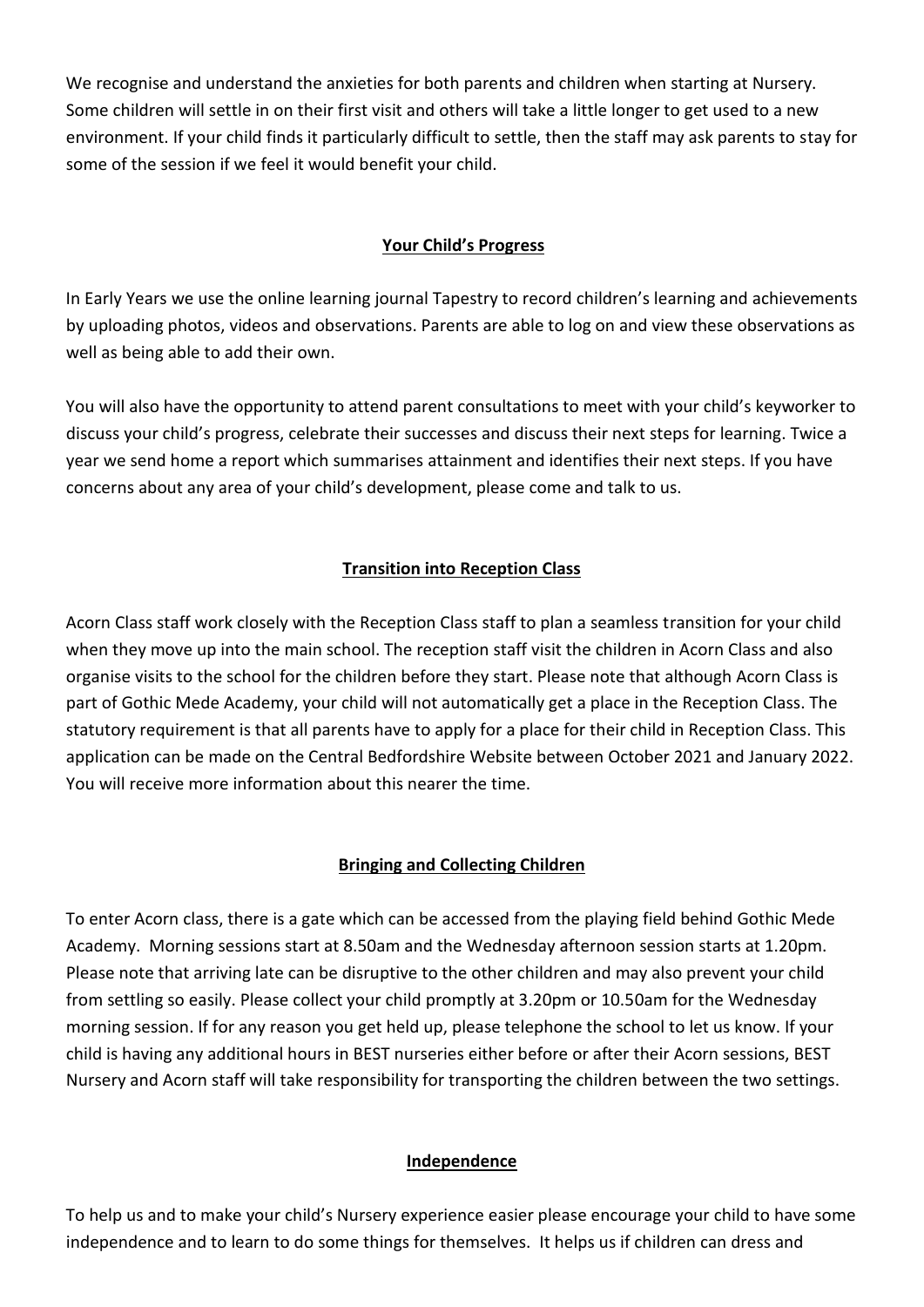We recognise and understand the anxieties for both parents and children when starting at Nursery. Some children will settle in on their first visit and others will take a little longer to get used to a new environment. If your child finds it particularly difficult to settle, then the staff may ask parents to stay for some of the session if we feel it would benefit your child.

### **Your Child's Progress**

In Early Years we use the online learning journal Tapestry to record children's learning and achievements by uploading photos, videos and observations. Parents are able to log on and view these observations as well as being able to add their own.

You will also have the opportunity to attend parent consultations to meet with your child's keyworker to discuss your child's progress, celebrate their successes and discuss their next steps for learning. Twice a year we send home a report which summarises attainment and identifies their next steps. If you have concerns about any area of your child's development, please come and talk to us.

# **Transition into Reception Class**

Acorn Class staff work closely with the Reception Class staff to plan a seamless transition for your child when they move up into the main school. The reception staff visit the children in Acorn Class and also organise visits to the school for the children before they start. Please note that although Acorn Class is part of Gothic Mede Academy, your child will not automatically get a place in the Reception Class. The statutory requirement is that all parents have to apply for a place for their child in Reception Class. This application can be made on the Central Bedfordshire Website between October 2021 and January 2022. You will receive more information about this nearer the time.

# **Bringing and Collecting Children**

To enter Acorn class, there is a gate which can be accessed from the playing field behind Gothic Mede Academy. Morning sessions start at 8.50am and the Wednesday afternoon session starts at 1.20pm. Please note that arriving late can be disruptive to the other children and may also prevent your child from settling so easily. Please collect your child promptly at 3.20pm or 10.50am for the Wednesday morning session. If for any reason you get held up, please telephone the school to let us know. If your child is having any additional hours in BEST nurseries either before or after their Acorn sessions, BEST Nursery and Acorn staff will take responsibility for transporting the children between the two settings.

#### **Independence**

To help us and to make your child's Nursery experience easier please encourage your child to have some independence and to learn to do some things for themselves. It helps us if children can dress and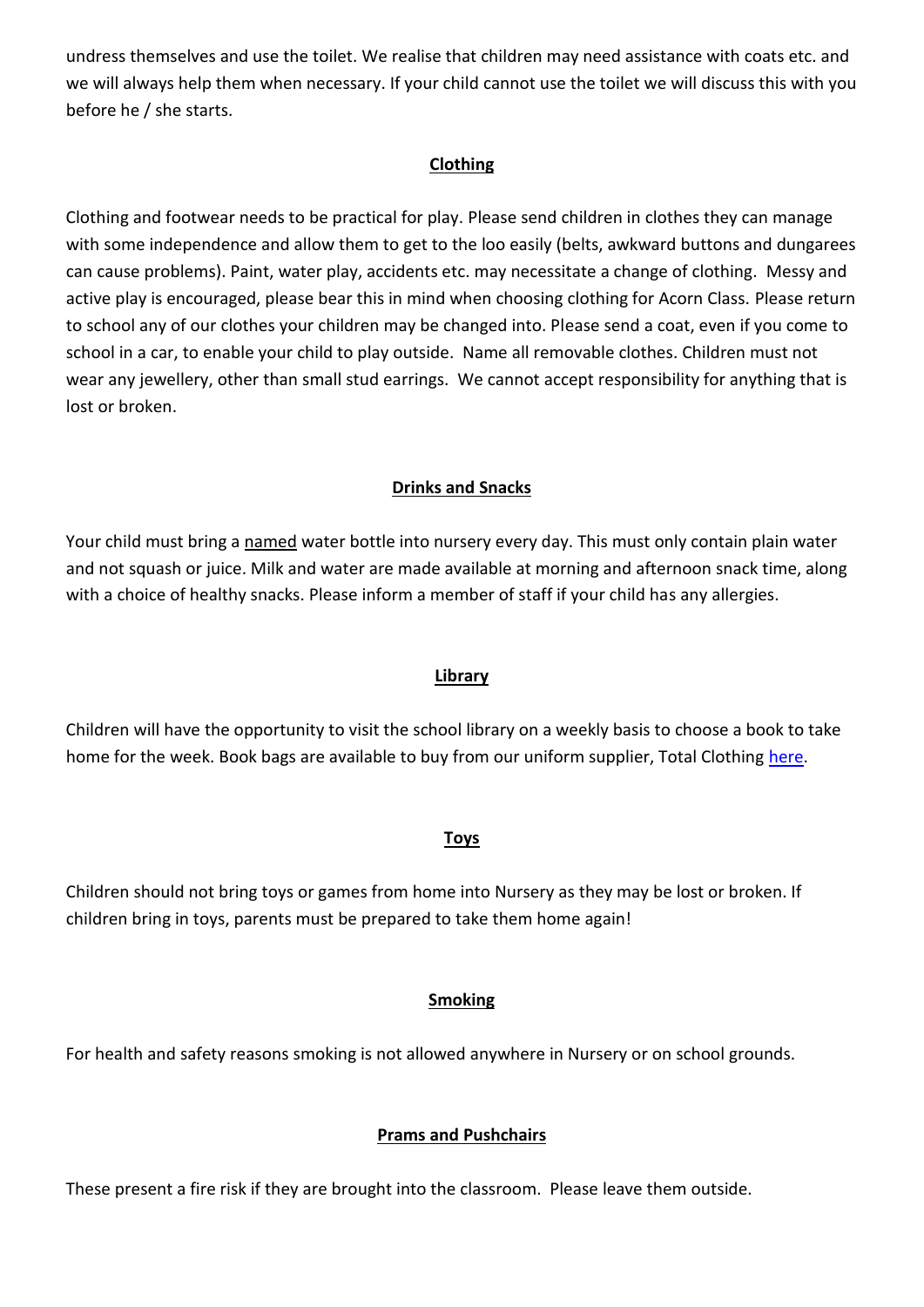undress themselves and use the toilet. We realise that children may need assistance with coats etc. and we will always help them when necessary. If your child cannot use the toilet we will discuss this with you before he / she starts.

#### **Clothing**

Clothing and footwear needs to be practical for play. Please send children in clothes they can manage with some independence and allow them to get to the loo easily (belts, awkward buttons and dungarees can cause problems). Paint, water play, accidents etc. may necessitate a change of clothing. Messy and active play is encouraged, please bear this in mind when choosing clothing for Acorn Class. Please return to school any of our clothes your children may be changed into. Please send a coat, even if you come to school in a car, to enable your child to play outside. Name all removable clothes. Children must not wear any jewellery, other than small stud earrings. We cannot accept responsibility for anything that is lost or broken.

#### **Drinks and Snacks**

Your child must bring a named water bottle into nursery every day. This must only contain plain water and not squash or juice. Milk and water are made available at morning and afternoon snack time, along with a choice of healthy snacks. Please inform a member of staff if your child has any allergies.

#### **Library**

Children will have the opportunity to visit the school library on a weekly basis to choose a book to take home for the week. Book bags are available to buy from our uniform supplier, Total Clothing [here.](https://www.totalclothingshop.co.uk/gmp)

#### **Toys**

Children should not bring toys or games from home into Nursery as they may be lost or broken. If children bring in toys, parents must be prepared to take them home again!

#### **Smoking**

For health and safety reasons smoking is not allowed anywhere in Nursery or on school grounds.

#### **Prams and Pushchairs**

These present a fire risk if they are brought into the classroom. Please leave them outside.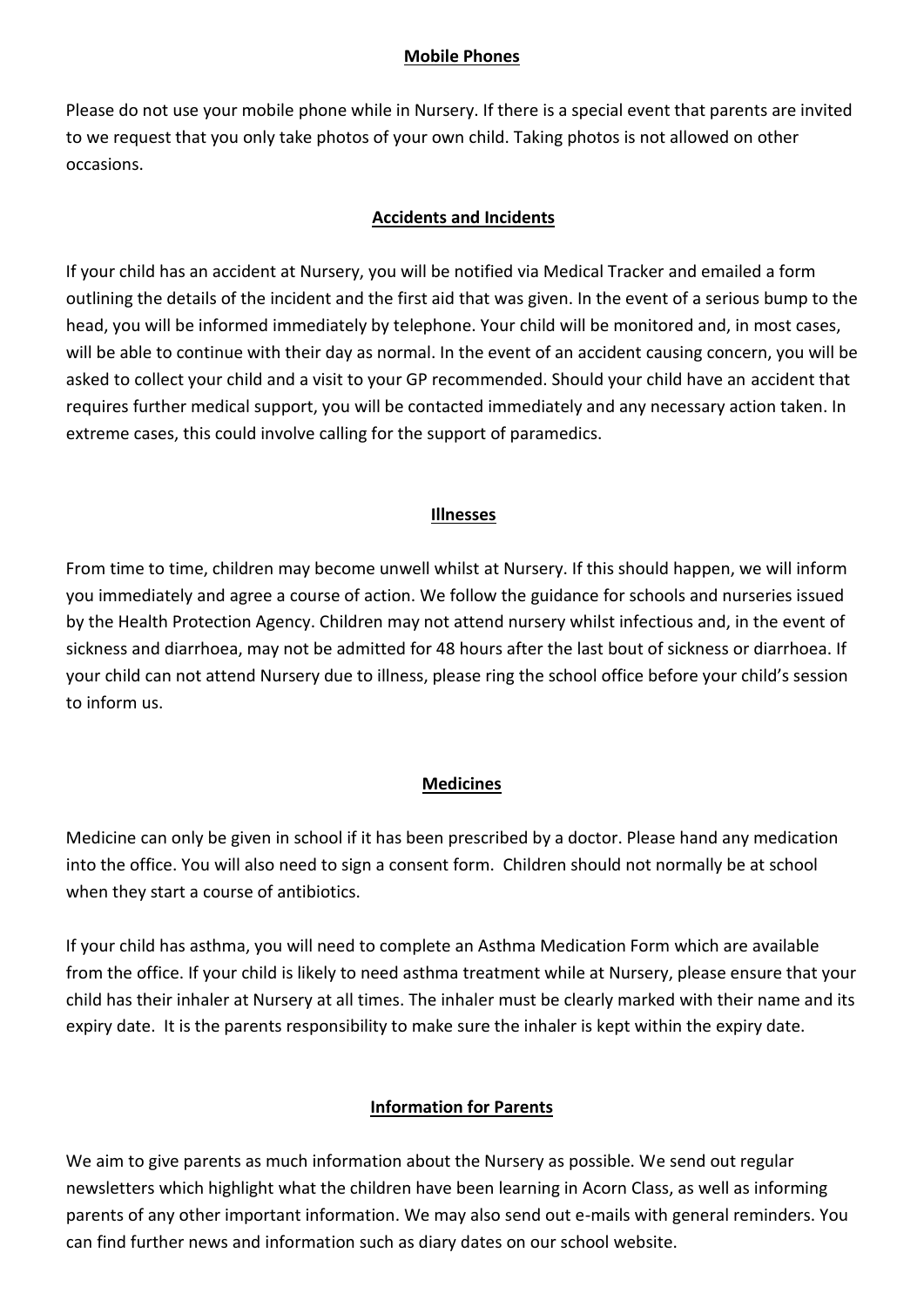#### **Mobile Phones**

Please do not use your mobile phone while in Nursery. If there is a special event that parents are invited to we request that you only take photos of your own child. Taking photos is not allowed on other occasions.

#### **Accidents and Incidents**

If your child has an accident at Nursery, you will be notified via Medical Tracker and emailed a form outlining the details of the incident and the first aid that was given. In the event of a serious bump to the head, you will be informed immediately by telephone. Your child will be monitored and, in most cases, will be able to continue with their day as normal. In the event of an accident causing concern, you will be asked to collect your child and a visit to your GP recommended. Should your child have an accident that requires further medical support, you will be contacted immediately and any necessary action taken. In extreme cases, this could involve calling for the support of paramedics.

#### **Illnesses**

From time to time, children may become unwell whilst at Nursery. If this should happen, we will inform you immediately and agree a course of action. We follow the guidance for schools and nurseries issued by the Health Protection Agency. Children may not attend nursery whilst infectious and, in the event of sickness and diarrhoea, may not be admitted for 48 hours after the last bout of sickness or diarrhoea. If your child can not attend Nursery due to illness, please ring the school office before your child's session to inform us.

#### **Medicines**

Medicine can only be given in school if it has been prescribed by a doctor. Please hand any medication into the office. You will also need to sign a consent form. Children should not normally be at school when they start a course of antibiotics.

If your child has asthma, you will need to complete an Asthma Medication Form which are available from the office. If your child is likely to need asthma treatment while at Nursery, please ensure that your child has their inhaler at Nursery at all times. The inhaler must be clearly marked with their name and its expiry date. It is the parents responsibility to make sure the inhaler is kept within the expiry date.

#### **Information for Parents**

We aim to give parents as much information about the Nursery as possible. We send out regular newsletters which highlight what the children have been learning in Acorn Class, as well as informing parents of any other important information. We may also send out e-mails with general reminders. You can find further news and information such as diary dates on our school website.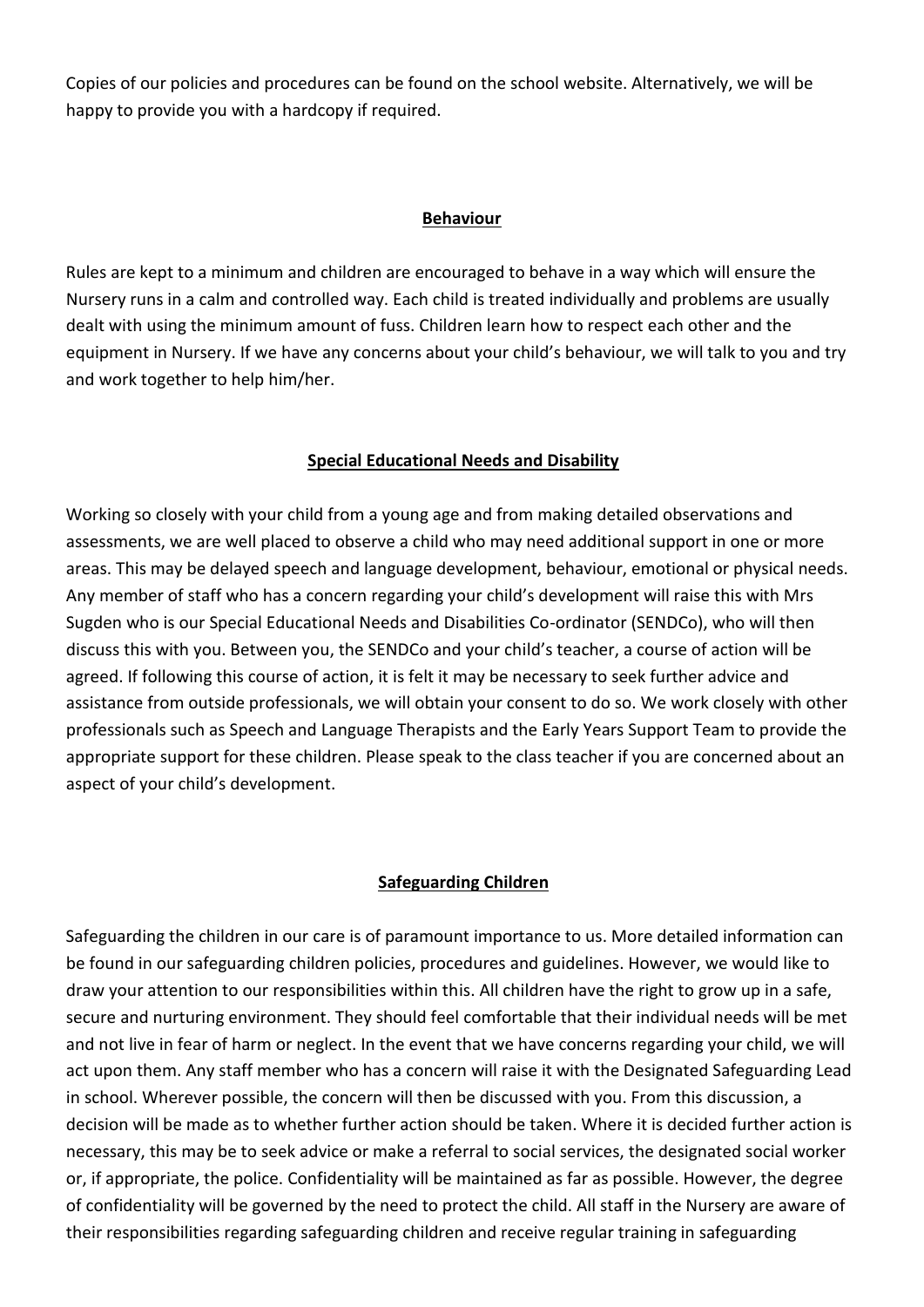Copies of our policies and procedures can be found on the school website. Alternatively, we will be happy to provide you with a hardcopy if required.

#### **Behaviour**

Rules are kept to a minimum and children are encouraged to behave in a way which will ensure the Nursery runs in a calm and controlled way. Each child is treated individually and problems are usually dealt with using the minimum amount of fuss. Children learn how to respect each other and the equipment in Nursery. If we have any concerns about your child's behaviour, we will talk to you and try and work together to help him/her.

#### **Special Educational Needs and Disability**

Working so closely with your child from a young age and from making detailed observations and assessments, we are well placed to observe a child who may need additional support in one or more areas. This may be delayed speech and language development, behaviour, emotional or physical needs. Any member of staff who has a concern regarding your child's development will raise this with Mrs Sugden who is our Special Educational Needs and Disabilities Co-ordinator (SENDCo), who will then discuss this with you. Between you, the SENDCo and your child's teacher, a course of action will be agreed. If following this course of action, it is felt it may be necessary to seek further advice and assistance from outside professionals, we will obtain your consent to do so. We work closely with other professionals such as Speech and Language Therapists and the Early Years Support Team to provide the appropriate support for these children. Please speak to the class teacher if you are concerned about an aspect of your child's development.

#### **Safeguarding Children**

Safeguarding the children in our care is of paramount importance to us. More detailed information can be found in our safeguarding children policies, procedures and guidelines. However, we would like to draw your attention to our responsibilities within this. All children have the right to grow up in a safe, secure and nurturing environment. They should feel comfortable that their individual needs will be met and not live in fear of harm or neglect. In the event that we have concerns regarding your child, we will act upon them. Any staff member who has a concern will raise it with the Designated Safeguarding Lead in school. Wherever possible, the concern will then be discussed with you. From this discussion, a decision will be made as to whether further action should be taken. Where it is decided further action is necessary, this may be to seek advice or make a referral to social services, the designated social worker or, if appropriate, the police. Confidentiality will be maintained as far as possible. However, the degree of confidentiality will be governed by the need to protect the child. All staff in the Nursery are aware of their responsibilities regarding safeguarding children and receive regular training in safeguarding